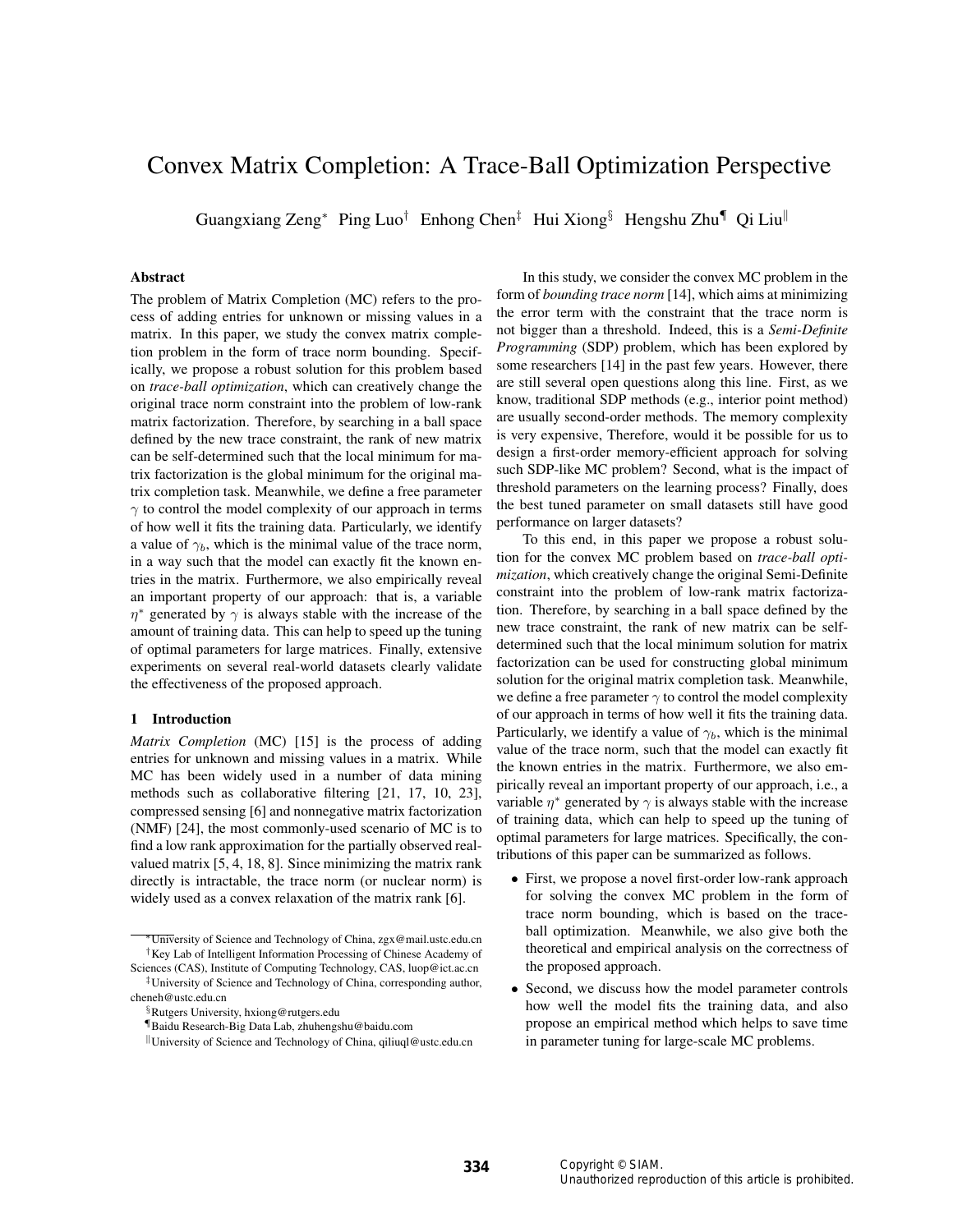# Convex Matrix Completion: A Trace-Ball Optimization Perspective

Guangxiang Zeng<sup>∗</sup> Ping Luo† Enhong Chen‡ Hui Xiong§ Hengshu Zhu¶ Qi Liu<sup>k</sup>

## Abstract

The problem of Matrix Completion (MC) refers to the process of adding entries for unknown or missing values in a matrix. In this paper, we study the convex matrix completion problem in the form of trace norm bounding. Specifically, we propose a robust solution for this problem based on *trace-ball optimization*, which can creatively change the original trace norm constraint into the problem of low-rank matrix factorization. Therefore, by searching in a ball space defined by the new trace constraint, the rank of new matrix can be self-determined such that the local minimum for matrix factorization is the global minimum for the original matrix completion task. Meanwhile, we define a free parameter  $\gamma$  to control the model complexity of our approach in terms of how well it fits the training data. Particularly, we identify a value of  $\gamma_b$ , which is the minimal value of the trace norm, in a way such that the model can exactly fit the known entries in the matrix. Furthermore, we also empirically reveal an important property of our approach: that is, a variable  $\eta^*$  generated by  $\gamma$  is always stable with the increase of the amount of training data. This can help to speed up the tuning of optimal parameters for large matrices. Finally, extensive experiments on several real-world datasets clearly validate the effectiveness of the proposed approach.

# 1 Introduction

*Matrix Completion* (MC) [15] is the process of adding entries for unknown and missing values in a matrix. While MC has been widely used in a number of data mining methods such as collaborative filtering [21, 17, 10, 23], compressed sensing [6] and nonnegative matrix factorization (NMF) [24], the most commonly-used scenario of MC is to find a low rank approximation for the partially observed realvalued matrix [5, 4, 18, 8]. Since minimizing the matrix rank directly is intractable, the trace norm (or nuclear norm) is widely used as a convex relaxation of the matrix rank [6].

In this study, we consider the convex MC problem in the form of *bounding trace norm* [14], which aims at minimizing the error term with the constraint that the trace norm is not bigger than a threshold. Indeed, this is a *Semi-Definite Programming* (SDP) problem, which has been explored by some researchers [14] in the past few years. However, there are still several open questions along this line. First, as we know, traditional SDP methods (e.g., interior point method) are usually second-order methods. The memory complexity is very expensive, Therefore, would it be possible for us to design a first-order memory-efficient approach for solving such SDP-like MC problem? Second, what is the impact of threshold parameters on the learning process? Finally, does the best tuned parameter on small datasets still have good performance on larger datasets?

To this end, in this paper we propose a robust solution for the convex MC problem based on *trace-ball optimization*, which creatively change the original Semi-Definite constraint into the problem of low-rank matrix factorization. Therefore, by searching in a ball space defined by the new trace constraint, the rank of new matrix can be selfdetermined such that the local minimum solution for matrix factorization can be used for constructing global minimum solution for the original matrix completion task. Meanwhile, we define a free parameter  $\gamma$  to control the model complexity of our approach in terms of how well it fits the training data. Particularly, we identify a value of  $\gamma_b$ , which is the minimal value of the trace norm, such that the model can exactly fit the known entries in the matrix. Furthermore, we also empirically reveal an important property of our approach, i.e., a variable  $\eta^*$  generated by  $\gamma$  is always stable with the increase of training data, which can help to speed up the tuning of optimal parameters for large matrices. Specifically, the contributions of this paper can be summarized as follows.

- First, we propose a novel first-order low-rank approach for solving the convex MC problem in the form of trace norm bounding, which is based on the traceball optimization. Meanwhile, we also give both the theoretical and empirical analysis on the correctness of the proposed approach.
- Second, we discuss how the model parameter controls how well the model fits the training data, and also propose an empirical method which helps to save time in parameter tuning for large-scale MC problems.

<sup>∗</sup>University of Science and Technology of China, zgx@mail.ustc.edu.cn †Key Lab of Intelligent Information Processing of Chinese Academy of Sciences (CAS), Institute of Computing Technology, CAS, luop@ict.ac.cn

<sup>‡</sup>University of Science and Technology of China, corresponding author, cheneh@ustc.edu.cn

<sup>§</sup>Rutgers University, hxiong@rutgers.edu

<sup>¶</sup>Baidu Research-Big Data Lab, zhuhengshu@baidu.com

<sup>k</sup>University of Science and Technology of China, qiliuql@ustc.edu.cn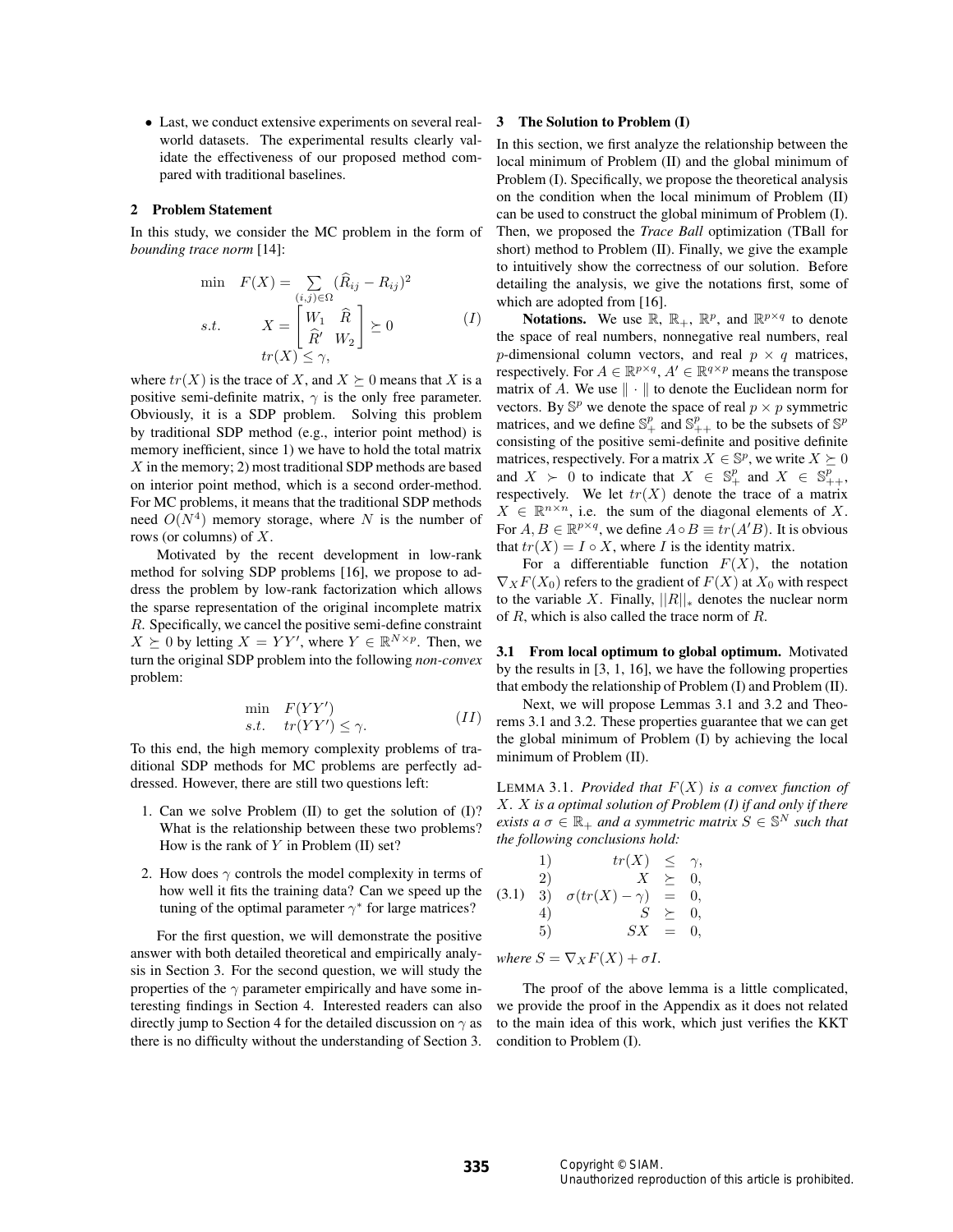• Last, we conduct extensive experiments on several realworld datasets. The experimental results clearly validate the effectiveness of our proposed method compared with traditional baselines.

## 2 Problem Statement

In this study, we consider the MC problem in the form of *bounding trace norm* [14]:

$$
\min \quad F(X) = \sum_{(i,j)\in\Omega} (\widehat{R}_{ij} - R_{ij})^2
$$
\n
$$
s.t. \quad X = \begin{bmatrix} W_1 & \widehat{R} \\ \widehat{R}^{\prime} & W_2 \end{bmatrix} \succeq 0 \tag{I}
$$
\n
$$
tr(X) \leq \gamma,
$$

where  $tr(X)$  is the trace of X, and  $X \succeq 0$  means that X is a positive semi-definite matrix,  $\gamma$  is the only free parameter. Obviously, it is a SDP problem. Solving this problem by traditional SDP method (e.g., interior point method) is memory inefficient, since 1) we have to hold the total matrix X in the memory; 2) most traditional SDP methods are based on interior point method, which is a second order-method. For MC problems, it means that the traditional SDP methods need  $O(N^4)$  memory storage, where N is the number of rows (or columns) of X.

Motivated by the recent development in low-rank method for solving SDP problems [16], we propose to address the problem by low-rank factorization which allows the sparse representation of the original incomplete matrix R. Specifically, we cancel the positive semi-define constraint  $X \succeq 0$  by letting  $X = YY'$ , where  $Y \in \mathbb{R}^{N \times p}$ . Then, we turn the original SDP problem into the following *non-convex* problem:

$$
\min_{s.t.} F(YY')\nst. tr(YY') \le \gamma.
$$
\n(II)

To this end, the high memory complexity problems of traditional SDP methods for MC problems are perfectly addressed. However, there are still two questions left:

- 1. Can we solve Problem (II) to get the solution of (I)? What is the relationship between these two problems? How is the rank of  $Y$  in Problem (II) set?
- 2. How does  $\gamma$  controls the model complexity in terms of how well it fits the training data? Can we speed up the tuning of the optimal parameter  $\gamma^*$  for large matrices?

For the first question, we will demonstrate the positive answer with both detailed theoretical and empirically analysis in Section 3. For the second question, we will study the properties of the  $\gamma$  parameter empirically and have some interesting findings in Section 4. Interested readers can also directly jump to Section 4 for the detailed discussion on  $\gamma$  as there is no difficulty without the understanding of Section 3.

#### 3 The Solution to Problem (I)

In this section, we first analyze the relationship between the local minimum of Problem (II) and the global minimum of Problem (I). Specifically, we propose the theoretical analysis on the condition when the local minimum of Problem (II) can be used to construct the global minimum of Problem (I). Then, we proposed the *Trace Ball* optimization (TBall for short) method to Problem (II). Finally, we give the example to intuitively show the correctness of our solution. Before detailing the analysis, we give the notations first, some of which are adopted from [16].

**Notations.** We use  $\mathbb{R}$ ,  $\mathbb{R}_+$ ,  $\mathbb{R}^p$ , and  $\mathbb{R}^{p \times q}$  to denote the space of real numbers, nonnegative real numbers, real p-dimensional column vectors, and real  $p \times q$  matrices, respectively. For  $A \in \mathbb{R}^{p \times q}$ ,  $A' \in \mathbb{R}^{q \times p}$  means the transpose matrix of A. We use  $\|\cdot\|$  to denote the Euclidean norm for vectors. By  $\mathbb{S}^p$  we denote the space of real  $p \times p$  symmetric matrices, and we define  $\mathbb{S}^p_+$  and  $\mathbb{S}^p_{++}$  to be the subsets of  $\mathbb{S}^p$ consisting of the positive semi-definite and positive definite matrices, respectively. For a matrix  $X \in \mathbb{S}^p$ , we write  $X \succeq 0$ and  $X > 0$  to indicate that  $X \in \mathbb{S}^p_+$  and  $X \in \mathbb{S}^p_{++}$ , respectively. We let  $tr(X)$  denote the trace of a matrix  $X \in \mathbb{R}^{n \times n}$ , i.e. the sum of the diagonal elements of X. For  $A, B \in \mathbb{R}^{p \times q}$ , we define  $A \circ B \equiv tr(A'B)$ . It is obvious that  $tr(X) = I \circ X$ , where I is the identity matrix.

For a differentiable function  $F(X)$ , the notation  $\nabla_X F(X_0)$  refers to the gradient of  $F(X)$  at  $X_0$  with respect to the variable X. Finally,  $||R||_*$  denotes the nuclear norm of R, which is also called the trace norm of R.

3.1 From local optimum to global optimum. Motivated by the results in [3, 1, 16], we have the following properties that embody the relationship of Problem (I) and Problem (II).

Next, we will propose Lemmas 3.1 and 3.2 and Theorems 3.1 and 3.2. These properties guarantee that we can get the global minimum of Problem (I) by achieving the local minimum of Problem (II).

LEMMA 3.1. *Provided that*  $F(X)$  *is a convex function of* X*.* X *is a optimal solution of Problem (I) if and only if there exists a*  $\sigma \in \mathbb{R}_+$  *and a symmetric matrix*  $S \in \mathbb{S}^N$  *such that the following conclusions hold:*

(3.1) 1) 
$$
tr(X) \leq \gamma
$$
,  
\n2)  $X \geq 0$ ,  
\n3)  $\sigma(tr(X) - \gamma) = 0$ ,  
\n4)  $S \geq 0$ ,  
\n5)  $SX = 0$ ,

*where*  $S = \nabla_X F(X) + \sigma I$ *.* 

The proof of the above lemma is a little complicated, we provide the proof in the Appendix as it does not related to the main idea of this work, which just verifies the KKT condition to Problem (I).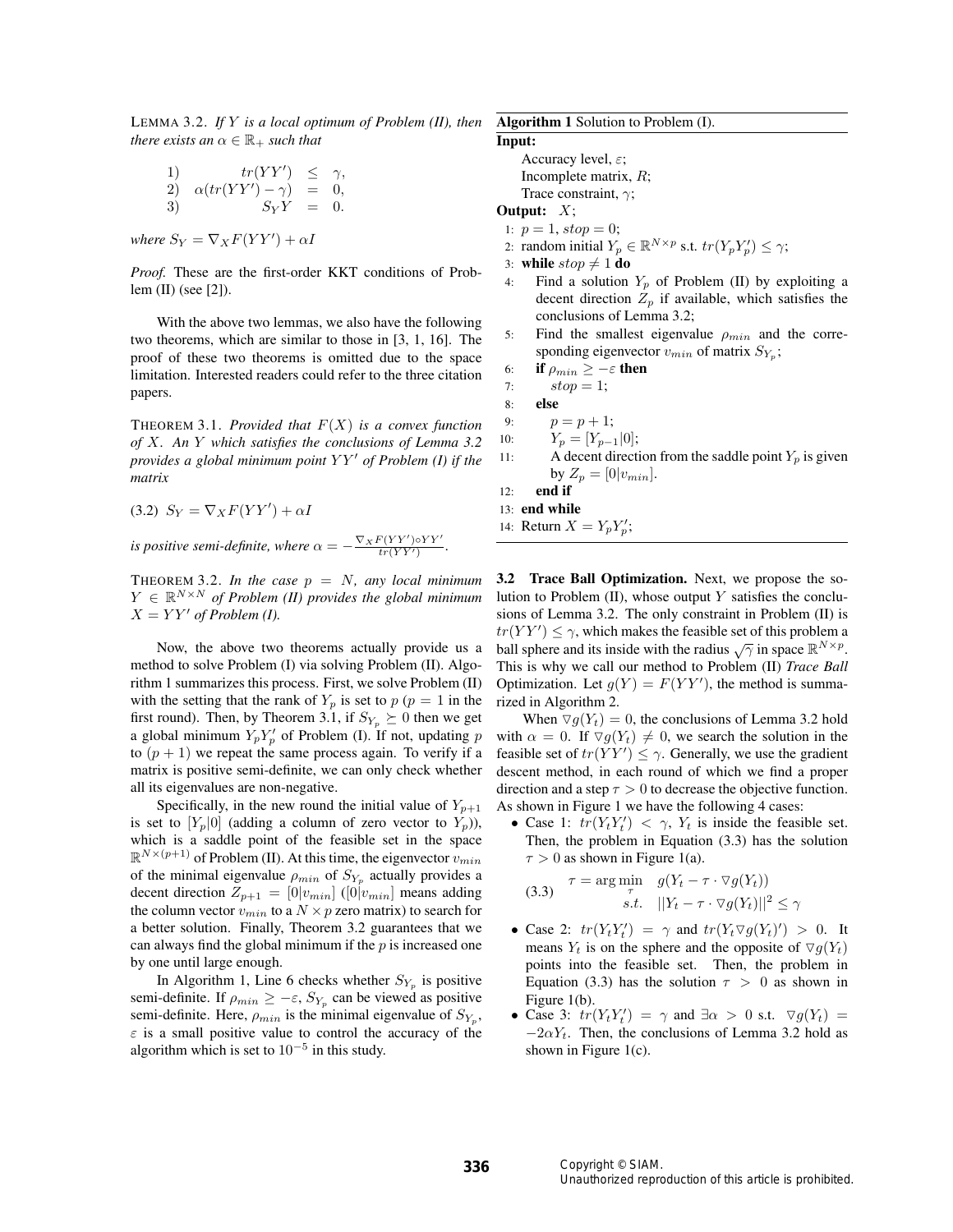LEMMA 3.2. *If* Y *is a local optimum of Problem (II), then there exists an*  $\alpha \in \mathbb{R}_+$  *such that* 

1) 
$$
tr(YY') \leq \gamma
$$
,  
\n2)  $\alpha(tr(YY') - \gamma) = 0$ ,  
\n3)  $S_YY = 0$ .

*where*  $S_Y = \nabla_X F(YY') + \alpha I$ 

*Proof.* These are the first-order KKT conditions of Problem (II) (see [2]).

With the above two lemmas, we also have the following two theorems, which are similar to those in [3, 1, 16]. The proof of these two theorems is omitted due to the space limitation. Interested readers could refer to the three citation papers.

THEOREM 3.1. *Provided that*  $F(X)$  *is a convex function of* X*. An* Y *which satisfies the conclusions of Lemma 3.2 provides a global minimum point YY' of Problem (I) if the matrix*

$$
(3.2) S_Y = \nabla_X F(YY') + \alpha I
$$

*is positive semi-definite, where*  $\alpha = -\frac{\nabla_X F(YY') \circ YY'}{tr(YY')}$ .

THEOREM 3.2. In the case  $p = N$ , any local minimum  $Y \in \mathbb{R}^{N \times N}$  of Problem (II) provides the global minimum  $X = YY'$  of Problem (I).

Now, the above two theorems actually provide us a method to solve Problem (I) via solving Problem (II). Algorithm 1 summarizes this process. First, we solve Problem (II) with the setting that the rank of  $Y_p$  is set to  $p (p = 1)$  in the first round). Then, by Theorem 3.1, if  $S_{Y_p} \succeq 0$  then we get a global minimum  $Y_p Y_p'$  of Problem (I). If not, updating p to  $(p + 1)$  we repeat the same process again. To verify if a matrix is positive semi-definite, we can only check whether all its eigenvalues are non-negative.

Specifically, in the new round the initial value of  $Y_{p+1}$ is set to  $[Y_p|0]$  (adding a column of zero vector to  $Y_p$ )), which is a saddle point of the feasible set in the space  $\mathbb{R}^{N \times (p+1)}$  of Problem (II). At this time, the eigenvector  $v_{min}$ of the minimal eigenvalue  $\rho_{min}$  of  $S_{Y_p}$  actually provides a decent direction  $Z_{p+1} = [0]v_{min}]$  ([0] $v_{min}]$  means adding the column vector  $v_{min}$  to a  $N \times p$  zero matrix) to search for a better solution. Finally, Theorem 3.2 guarantees that we can always find the global minimum if the  $p$  is increased one by one until large enough.

In Algorithm 1, Line 6 checks whether  $S_{Y_p}$  is positive semi-definite. If  $\rho_{min} \geq -\varepsilon$ ,  $S_{Y_p}$  can be viewed as positive semi-definite. Here,  $\rho_{min}$  is the minimal eigenvalue of  $S_{Y_p}$ ,  $\varepsilon$  is a small positive value to control the accuracy of the algorithm which is set to  $10^{-5}$  in this study.

Algorithm 1 Solution to Problem (I). Input: Accuracy level,  $\varepsilon$ ; Incomplete matrix, R; Trace constraint,  $\gamma$ ; Output:  $X$ ; 1:  $p = 1$ ,  $stop = 0$ ; 2: random initial  $Y_p \in \mathbb{R}^{N \times p}$  s.t.  $tr(Y_p Y_p') \leq \gamma$ ;

- 3: **while**  $stop \neq 1$  **do**<br>4: Find a solution Find a solution  $Y_p$  of Problem (II) by exploiting a decent direction  $Z_p$  if available, which satisfies the conclusions of Lemma 3.2;
- 5: Find the smallest eigenvalue  $\rho_{min}$  and the corresponding eigenvector  $v_{min}$  of matrix  $S_{Y_p}$ ;
- 6: **if**  $\rho_{min} \ge -\varepsilon$  **then**<br>7: **stop** = 1;
- $stop = 1;$
- 8: else
- 9:  $p = p + 1;$
- 10:  $Y_p = [Y_{p-1}|0];$ <br>11: A decent direct
	- A decent direction from the saddle point  $Y_n$  is given by  $Z_p = [0|v_{min}]$ .
- 12: end if
- 13: end while

14: Return  $X = Y_p Y_p'$ ;

3.2 Trace Ball Optimization. Next, we propose the solution to Problem  $(II)$ , whose output Y satisfies the conclusions of Lemma 3.2. The only constraint in Problem (II) is  $tr(YY') \leq \gamma$ , which makes the feasible set of this problem a ball sphere and its inside with the radius  $\sqrt{\gamma}$  in space  $\mathbb{R}^{N \times p}$ . This is why we call our method to Problem (II) *Trace Ball* Optimization. Let  $g(Y) = F(YY')$ , the method is summarized in Algorithm 2.

When  $\nabla q(Y_t) = 0$ , the conclusions of Lemma 3.2 hold with  $\alpha = 0$ . If  $\nabla g(Y_t) \neq 0$ , we search the solution in the feasible set of  $tr(YY') \leq \gamma$ . Generally, we use the gradient descent method, in each round of which we find a proper direction and a step  $\tau > 0$  to decrease the objective function. As shown in Figure 1 we have the following 4 cases:

• Case 1:  $tr(Y_t Y_t') < \gamma$ ,  $Y_t$  is inside the feasible set. Then, the problem in Equation (3.3) has the solution  $\tau > 0$  as shown in Figure 1(a).

(3.3) 
$$
\tau = \underset{s.t.}{\arg \min} \quad g(Y_t - \tau \cdot \nabla g(Y_t))
$$

$$
s.t. \quad ||Y_t - \tau \cdot \nabla g(Y_t)||^2 \le \gamma
$$

- Case 2:  $tr(Y_t Y_t') = \gamma$  and  $tr(Y_t \nabla g(Y_t)') > 0$ . It means  $Y_t$  is on the sphere and the opposite of  $\nabla g(Y_t)$ points into the feasible set. Then, the problem in Equation (3.3) has the solution  $\tau > 0$  as shown in Figure 1(b).
- Case 3:  $tr(Y_t Y_t') = \gamma$  and  $\exists \alpha > 0$  s.t.  $\nabla g(Y_t) =$  $-2\alpha Y_t$ . Then, the conclusions of Lemma 3.2 hold as shown in Figure 1(c).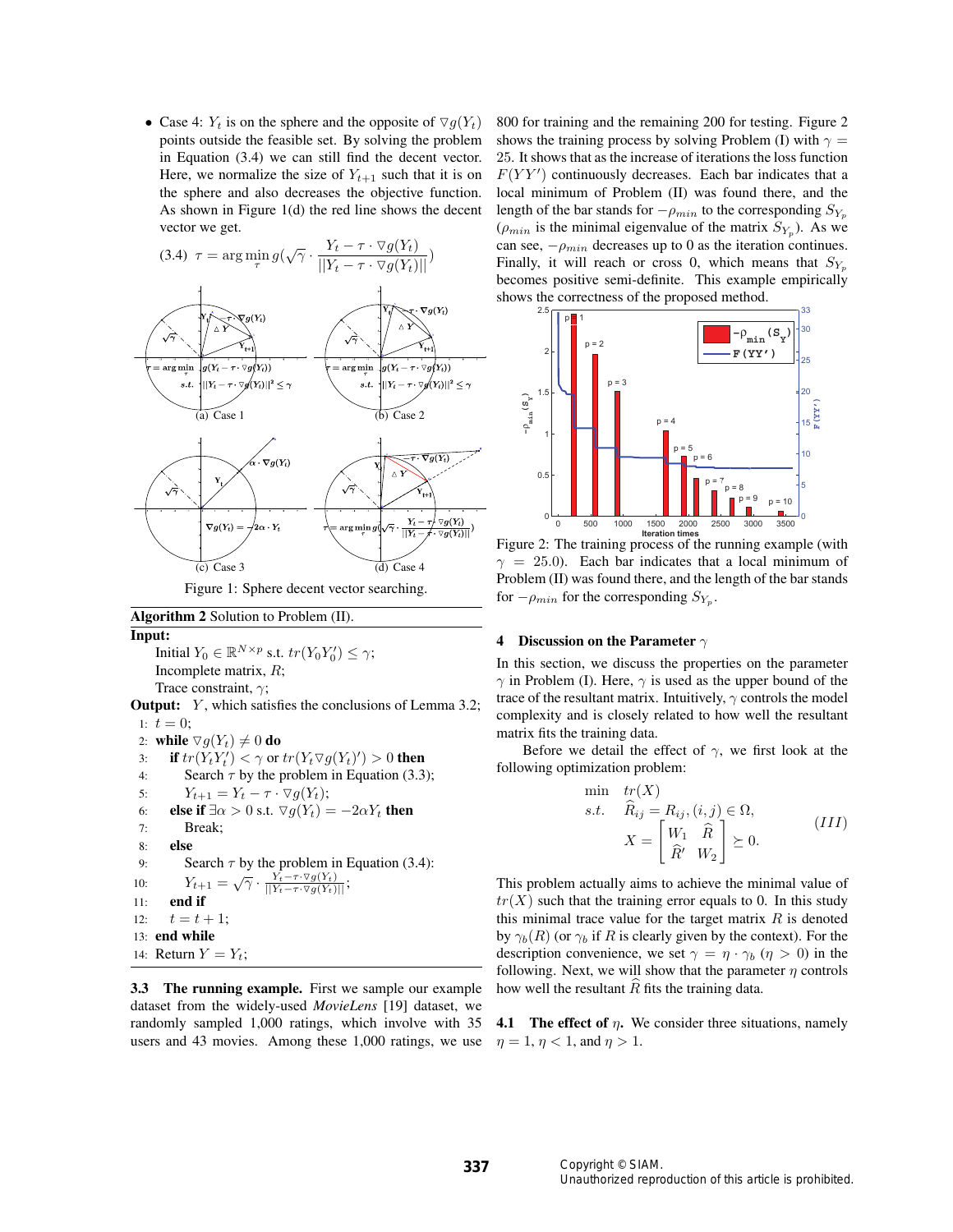• Case 4:  $Y_t$  is on the sphere and the opposite of  $\nabla q(Y_t)$ points outside the feasible set. By solving the problem in Equation (3.4) we can still find the decent vector. Here, we normalize the size of  $Y_{t+1}$  such that it is on the sphere and also decreases the objective function. As shown in Figure 1(d) the red line shows the decent vector we get.



Figure 1: Sphere decent vector searching.

Algorithm 2 Solution to Problem (II).

Input: Initial  $Y_0 \in \mathbb{R}^{N \times p}$  s.t.  $tr(Y_0 Y_0') \leq \gamma$ ; Incomplete matrix, R;

Trace constraint,  $\gamma$ ;

**Output:** Y, which satisfies the conclusions of Lemma 3.2; 1:  $t = 0$ :

2: while  $\nabla g(Y_t) \neq 0$  do<br>3: if  $tr(Y_t Y_t') < \gamma$  or

```
3: if tr(Y_t Y_t') < \gamma or tr(Y_t \nabla g(Y_t)') > 0 then
```

```
4: Search \tau by the problem in Equation (3.3);
```
5: 
$$
Y_{t+1} = Y_t - \tau \cdot \nabla g(Y_t);
$$

6: else if 
$$
\exists \alpha > 0
$$
 s.t.  $\nabla g(Y_t) = -2\alpha Y_t$  then

7: Break; 8: else 9: Search  $\tau$  by the problem in Equation (3.4): 10:  $Y_{t+1} = \sqrt{\gamma} \cdot \frac{Y_t - \tau \cdot \nabla g(Y_t)}{||Y_t - \tau \cdot \nabla g(Y_t)||};$ 11: end if 12:  $t = t + 1$ ; 13: end while

14: Return  $Y = Y_t$ ;

3.3 The running example. First we sample our example dataset from the widely-used *MovieLens* [19] dataset, we randomly sampled 1,000 ratings, which involve with 35 users and 43 movies. Among these 1,000 ratings, we use 800 for training and the remaining 200 for testing. Figure 2 shows the training process by solving Problem (I) with  $\gamma =$ 25. It shows that as the increase of iterations the loss function  $F(YY')$  continuously decreases. Each bar indicates that a local minimum of Problem (II) was found there, and the length of the bar stands for  $-\rho_{min}$  to the corresponding  $S_{Y_p}$  $(\rho_{min}$  is the minimal eigenvalue of the matrix  $S_{Y_p}$ ). As we can see,  $-\rho_{min}$  decreases up to 0 as the iteration continues. Finally, it will reach or cross 0, which means that  $S_{Y_p}$ becomes positive semi-definite. This example empirically shows the correctness of the proposed method.



Figure 2: The training process of the running example (with  $\gamma = 25.0$ ). Each bar indicates that a local minimum of Problem (II) was found there, and the length of the bar stands for  $-\rho_{min}$  for the corresponding  $S_{Y_n}$ .

## 4 Discussion on the Parameter  $\gamma$

In this section, we discuss the properties on the parameter  $\gamma$  in Problem (I). Here,  $\gamma$  is used as the upper bound of the trace of the resultant matrix. Intuitively,  $\gamma$  controls the model complexity and is closely related to how well the resultant matrix fits the training data.

Before we detail the effect of  $\gamma$ , we first look at the following optimization problem:

$$
\begin{aligned}\n\min \quad & tr(X) \\
\text{s.t.} \quad & \widehat{R}_{ij} = R_{ij}, (i,j) \in \Omega, \\
& X = \begin{bmatrix} W_1 & \widehat{R} \\ \widehat{R}' & W_2 \end{bmatrix} \succeq 0.\n\end{aligned} \tag{III}
$$

This problem actually aims to achieve the minimal value of  $tr(X)$  such that the training error equals to 0. In this study this minimal trace value for the target matrix  $R$  is denoted by  $\gamma_b(R)$  (or  $\gamma_b$  if R is clearly given by the context). For the description convenience, we set  $\gamma = \eta \cdot \gamma_b$  ( $\eta > 0$ ) in the following. Next, we will show that the parameter  $\eta$  controls how well the resultant  $R$  fits the training data.

**4.1** The effect of  $\eta$ . We consider three situations, namely  $\eta = 1, \eta < 1$ , and  $\eta > 1$ .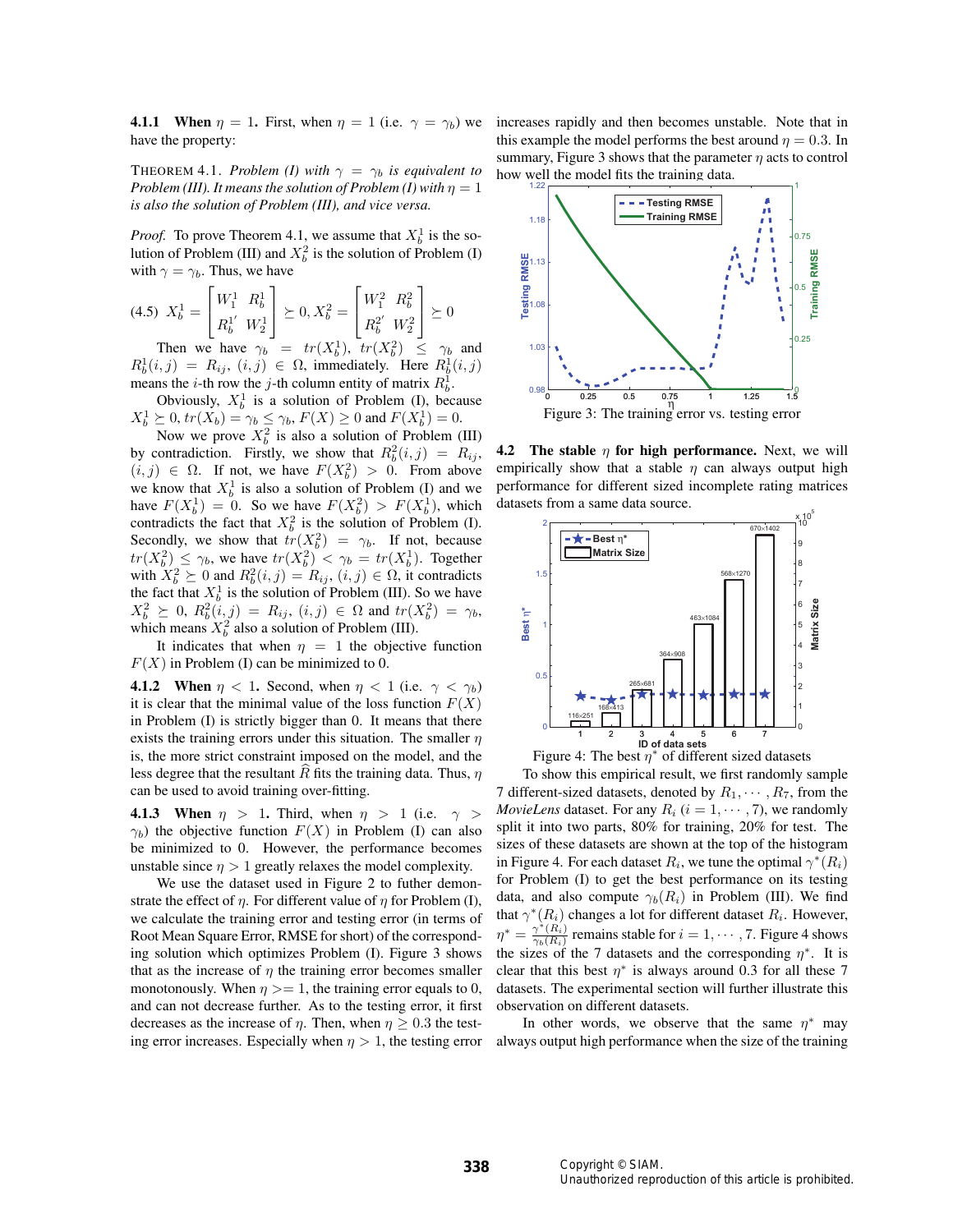**4.1.1** When  $\eta = 1$ . First, when  $\eta = 1$  (i.e.  $\gamma = \gamma_b$ ) we have the property:

THEOREM 4.1. *Problem (I) with*  $\gamma = \gamma_b$  *is equivalent to Problem (III). It means the solution of Problem (I) with*  $\eta = 1$ *is also the solution of Problem (III), and vice versa.*

*Proof.* To prove Theorem 4.1, we assume that  $X_b^1$  is the solution of Problem (III) and  $X_b^2$  is the solution of Problem (I) with  $\gamma = \gamma_b$ . Thus, we have

$$
(4.5) \ \ X_b^1 = \begin{bmatrix} W_1^1 & R_b^1 \\ R_b^1 & W_2^1 \end{bmatrix} \succeq 0, X_b^2 = \begin{bmatrix} W_1^2 & R_b^2 \\ R_b^2 & W_2^2 \end{bmatrix} \succeq 0
$$

Then we have  $\gamma_b = tr(X_b^1)$ ,  $tr(X_b^2) \leq \gamma_b$  and  $R_b^1(i,j) = R_{ij}, (i,j) \in \Omega$ , immediately. Here  $R_b^1(i,j)$ means the *i*-th row the *j*-th column entity of matrix  $R_b^1$ .

Obviously,  $X_b^1$  is a solution of Problem (I), because  $X_b^1 \geq 0$ ,  $tr(X_b) = \gamma_b \leq \gamma_b$ ,  $F(X) \geq 0$  and  $F(X_b^1) = 0$ .

Now we prove  $X_b^2$  is also a solution of Problem (III) by contradiction. Firstly, we show that  $R_b^2(i, j) = R_{ij}$ ,  $(i, j) \in \Omega$ . If not, we have  $F(X_b^2) > 0$ . From above we know that  $X_b^1$  is also a solution of Problem (I) and we have  $F(X_b^1) = 0$ . So we have  $F(X_b^2) > F(X_b^1)$ , which contradicts the fact that  $X_b^2$  is the solution of Problem (I). Secondly, we show that  $tr(X_b^2) = \gamma_b$ . If not, because  $tr(X_b^2) \leq \gamma_b$ , we have  $tr(X_b^2) < \gamma_b = tr(X_b^1)$ . Together with  $X_b^2 \succeq 0$  and  $R_b^2(i, j) = R_{ij}$ ,  $(i, j) \in \Omega$ , it contradicts the fact that  $X_b^1$  is the solution of Problem (III). So we have  $X_b^2 \geq 0, R_b^2(i,j) = R_{ij}, (i,j) \in \Omega \text{ and } tr(X_b^2) = \gamma_b,$ which means  $X_b^2$  also a solution of Problem (III).

It indicates that when  $\eta = 1$  the objective function  $F(X)$  in Problem (I) can be minimized to 0.

**4.1.2** When  $\eta$  < 1. Second, when  $\eta$  < 1 (i.e.  $\gamma$  <  $\gamma_b$ ) it is clear that the minimal value of the loss function  $F(X)$ in Problem (I) is strictly bigger than 0. It means that there exists the training errors under this situation. The smaller  $\eta$ is, the more strict constraint imposed on the model, and the less degree that the resultant  $\widehat{R}$  fits the training data. Thus,  $\eta$ can be used to avoid training over-fitting.

4.1.3 When  $\eta$  > 1. Third, when  $\eta$  > 1 (i.e.  $\gamma$  >  $\gamma_b$ ) the objective function  $F(X)$  in Problem (I) can also be minimized to 0. However, the performance becomes unstable since  $\eta > 1$  greatly relaxes the model complexity.

We use the dataset used in Figure 2 to futher demonstrate the effect of  $\eta$ . For different value of  $\eta$  for Problem (I), we calculate the training error and testing error (in terms of Root Mean Square Error, RMSE for short) of the corresponding solution which optimizes Problem (I). Figure 3 shows that as the increase of  $\eta$  the training error becomes smaller monotonously. When  $\eta \geq 1$ , the training error equals to 0, and can not decrease further. As to the testing error, it first decreases as the increase of  $\eta$ . Then, when  $\eta > 0.3$  the testing error increases. Especially when  $\eta > 1$ , the testing error increases rapidly and then becomes unstable. Note that in this example the model performs the best around  $\eta = 0.3$ . In summary, Figure 3 shows that the parameter  $\eta$  acts to control how well the model fits the training data.



**4.2** The stable  $\eta$  for high performance. Next, we will empirically show that a stable  $\eta$  can always output high performance for different sized incomplete rating matrices datasets from a same data source.





To show this empirical result, we first randomly sample 7 different-sized datasets, denoted by  $R_1, \cdots, R_7$ , from the *MovieLens* dataset. For any  $R_i$  ( $i = 1, \dots, 7$ ), we randomly split it into two parts, 80% for training, 20% for test. The sizes of these datasets are shown at the top of the histogram in Figure 4. For each dataset  $R_i$ , we tune the optimal  $\gamma^*(R_i)$ for Problem (I) to get the best performance on its testing data, and also compute  $\gamma_b(R_i)$  in Problem (III). We find that  $\gamma^*(R_i)$  changes a lot for different dataset  $R_i$ . However,  $\eta^* = \frac{\gamma^*(\vec{R_i})}{\gamma_b(R_i)}$  remains stable for  $i = 1, \cdots, 7$ . Figure 4 shows the sizes of the 7 datasets and the corresponding  $\eta^*$ . It is clear that this best  $\eta^*$  is always around 0.3 for all these 7 datasets. The experimental section will further illustrate this observation on different datasets.

In other words, we observe that the same  $\eta^*$  may always output high performance when the size of the training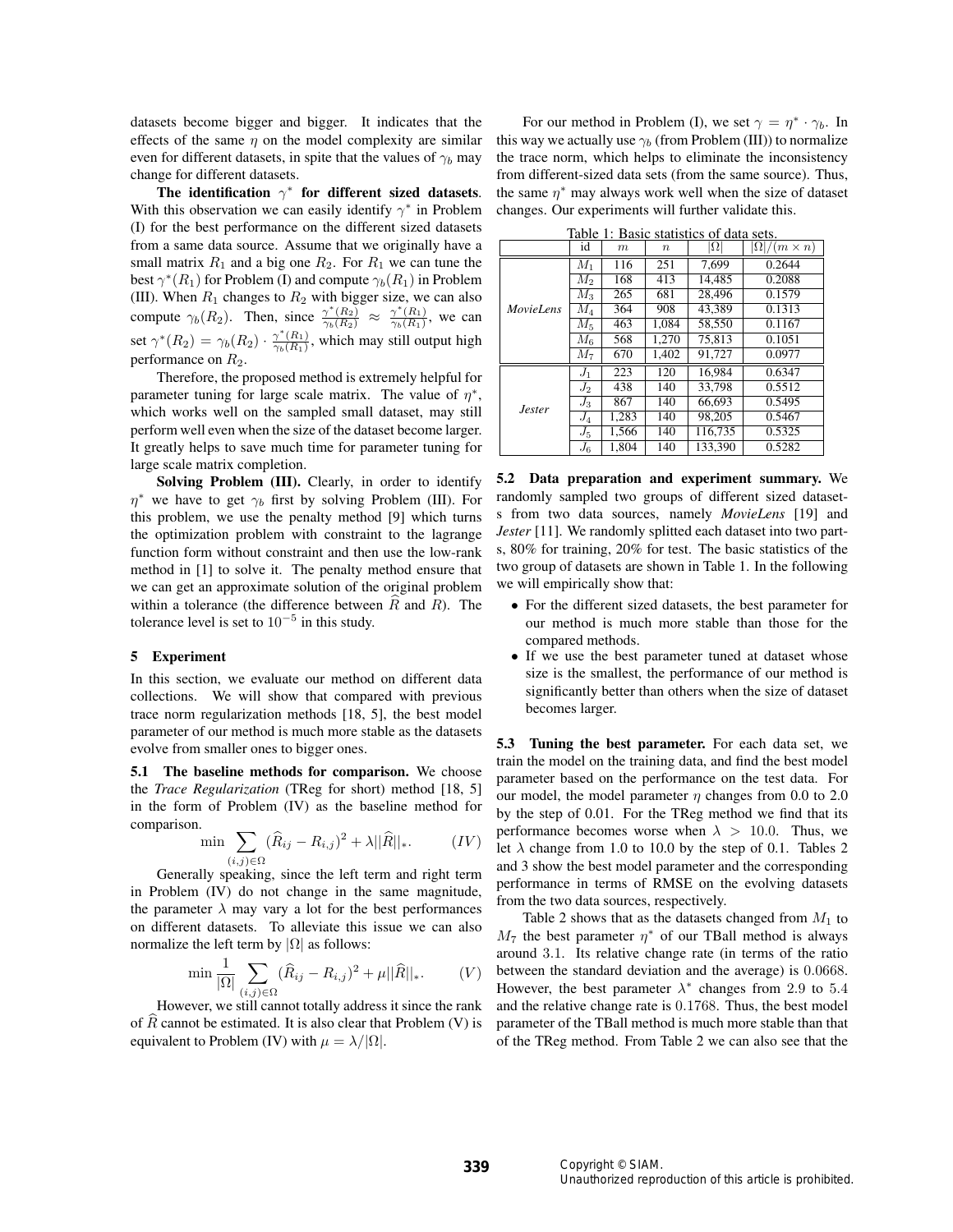datasets become bigger and bigger. It indicates that the effects of the same  $\eta$  on the model complexity are similar even for different datasets, in spite that the values of  $\gamma_b$  may change for different datasets.

The identification  $\gamma^*$  for different sized datasets. With this observation we can easily identify  $\gamma^*$  in Problem (I) for the best performance on the different sized datasets from a same data source. Assume that we originally have a small matrix  $R_1$  and a big one  $R_2$ . For  $R_1$  we can tune the best  $\gamma^*(R_1)$  for Problem (I) and compute  $\gamma_b(R_1)$  in Problem (III). When  $R_1$  changes to  $R_2$  with bigger size, we can also compute  $\gamma_b(R_2)$ . Then, since  $\frac{\gamma^*(R_2)}{\gamma_b(R_2)} \approx \frac{\gamma^*(R_1)}{\gamma_b(R_1)}$ , we can set  $\gamma^*(R_2) = \gamma_b(R_2) \cdot \frac{\gamma^*(R_1)}{\gamma_b(R_1)}$ , which may still output high performance on  $R_2$ .

Therefore, the proposed method is extremely helpful for parameter tuning for large scale matrix. The value of  $\eta^*$ , which works well on the sampled small dataset, may still perform well even when the size of the dataset become larger. It greatly helps to save much time for parameter tuning for large scale matrix completion.

Solving Problem (III). Clearly, in order to identify  $\eta^*$  we have to get  $\gamma_b$  first by solving Problem (III). For this problem, we use the penalty method [9] which turns the optimization problem with constraint to the lagrange function form without constraint and then use the low-rank method in [1] to solve it. The penalty method ensure that we can get an approximate solution of the original problem within a tolerance (the difference between  $\hat{R}$  and R). The tolerance level is set to  $10^{-5}$  in this study.

## 5 Experiment

In this section, we evaluate our method on different data collections. We will show that compared with previous trace norm regularization methods [18, 5], the best model parameter of our method is much more stable as the datasets evolve from smaller ones to bigger ones.

5.1 The baseline methods for comparison. We choose the *Trace Regularization* (TReg for short) method [18, 5] in the form of Problem (IV) as the baseline method for comparison.

$$
\min \sum_{(i,j)\in\Omega} (\widehat{R}_{ij} - R_{i,j})^2 + \lambda ||\widehat{R}||_*.
$$
 (IV)

Generally speaking, since the left term and right term in Problem (IV) do not change in the same magnitude, the parameter  $\lambda$  may vary a lot for the best performances on different datasets. To alleviate this issue we can also normalize the left term by  $|\Omega|$  as follows:

$$
\min \frac{1}{|\Omega|} \sum_{(i,j)\in\Omega} (\widehat{R}_{ij} - R_{i,j})^2 + \mu ||\widehat{R}||_*.
$$
 (V)

However, we still cannot totally address it since the rank of  $R$  cannot be estimated. It is also clear that Problem (V) is equivalent to Problem (IV) with  $\mu = \lambda/|\Omega|$ .

For our method in Problem (I), we set  $\gamma = \eta^* \cdot \gamma_b$ . In this way we actually use  $\gamma_b$  (from Problem (III)) to normalize the trace norm, which helps to eliminate the inconsistency from different-sized data sets (from the same source). Thus, the same  $\eta^*$  may always work well when the size of dataset changes. Our experiments will further validate this.

| Table 1: Basic statistics of data sets. |                |       |                  |            |                           |  |
|-----------------------------------------|----------------|-------|------------------|------------|---------------------------|--|
|                                         | id             | m     | $\boldsymbol{n}$ | $ \Omega $ | $\Omega$ / $(m \times n)$ |  |
|                                         | $M_1$          | 116   | 251              | 7.699      | 0.2644                    |  |
|                                         | $M_{2}$        | 168   | 413              | 14.485     | 0.2088                    |  |
| <i>MovieLens</i>                        | $M_3$          | 265   | 681              | 28,496     | 0.1579                    |  |
|                                         | $M_{4}$        | 364   | 908              | 43.389     | 0.1313                    |  |
|                                         | $M_5$          | 463   | 1.084            | 58,550     | 0.1167                    |  |
|                                         | $M_{6}$        | 568   | 1.270            | 75.813     | 0.1051                    |  |
|                                         | M <sub>7</sub> | 670   | 1,402            | 91,727     | 0.0977                    |  |
| <i>Jester</i>                           | $J_1$          | 223   | 120              | 16.984     | 0.6347                    |  |
|                                         | $J_2$          | 438   | 140              | 33.798     | 0.5512                    |  |
|                                         | $J_3$          | 867   | 140              | 66,693     | 0.5495                    |  |
|                                         | $J_4$          | 1.283 | 140              | 98.205     | 0.5467                    |  |
|                                         | $J_5$          | 1.566 | 140              | 116.735    | 0.5325                    |  |
|                                         | $J_6$          | 1.804 | 140              | 133,390    | 0.5282                    |  |

5.2 Data preparation and experiment summary. We randomly sampled two groups of different sized datasets from two data sources, namely *MovieLens* [19] and *Jester* [11]. We randomly splitted each dataset into two parts, 80% for training, 20% for test. The basic statistics of the two group of datasets are shown in Table 1. In the following we will empirically show that:

- For the different sized datasets, the best parameter for our method is much more stable than those for the compared methods.
- If we use the best parameter tuned at dataset whose size is the smallest, the performance of our method is significantly better than others when the size of dataset becomes larger.

5.3 Tuning the best parameter. For each data set, we train the model on the training data, and find the best model parameter based on the performance on the test data. For our model, the model parameter  $\eta$  changes from 0.0 to 2.0 by the step of 0.01. For the TReg method we find that its performance becomes worse when  $\lambda > 10.0$ . Thus, we let  $\lambda$  change from 1.0 to 10.0 by the step of 0.1. Tables 2 and 3 show the best model parameter and the corresponding performance in terms of RMSE on the evolving datasets from the two data sources, respectively.

Table 2 shows that as the datasets changed from  $M_1$  to  $M_7$  the best parameter  $\eta^*$  of our TBall method is always around 3.1. Its relative change rate (in terms of the ratio between the standard deviation and the average) is 0.0668. However, the best parameter  $\lambda^*$  changes from 2.9 to 5.4 and the relative change rate is 0.1768. Thus, the best model parameter of the TBall method is much more stable than that of the TReg method. From Table 2 we can also see that the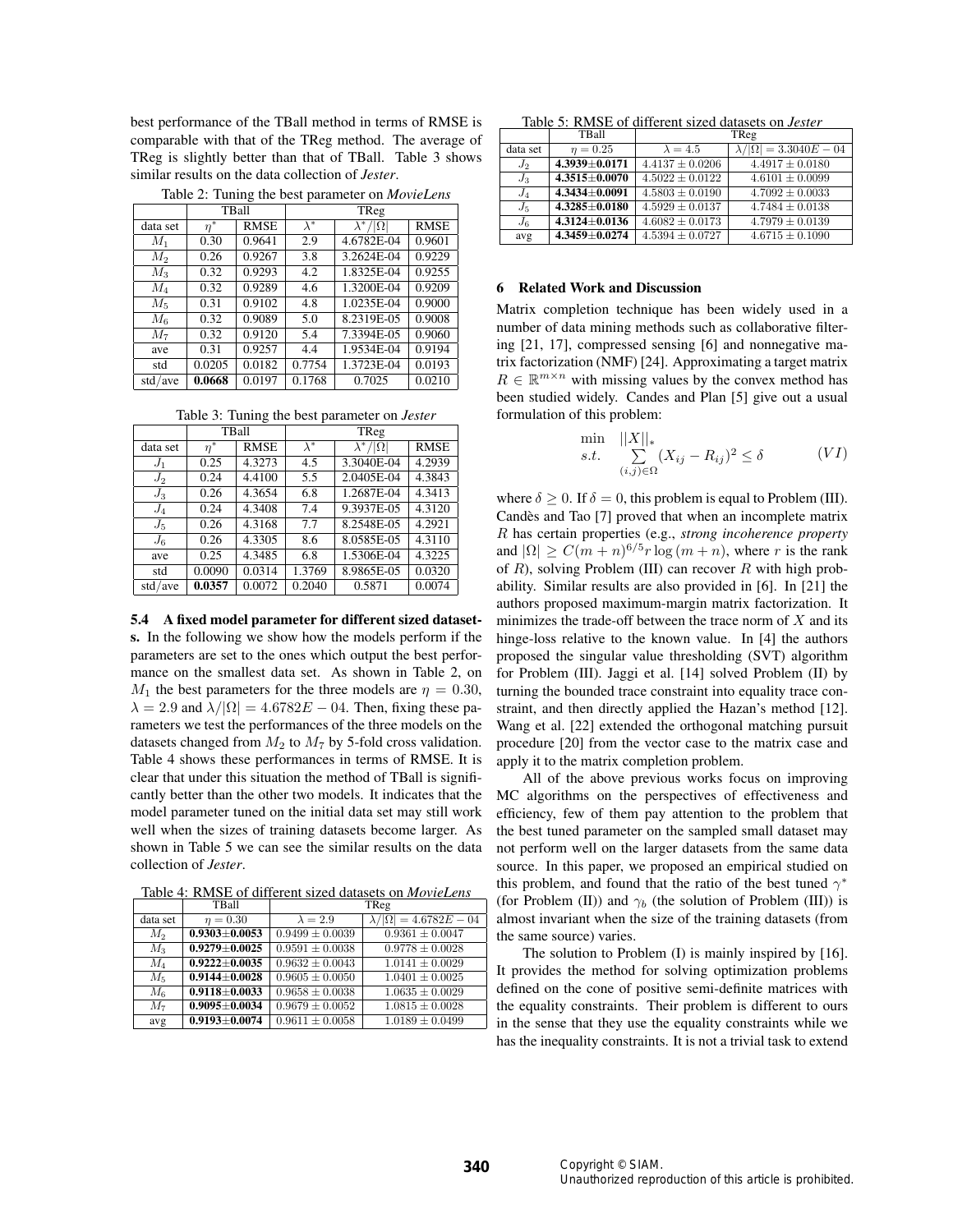best performance of the TBall method in terms of RMSE is comparable with that of the TReg method. The average of TReg is slightly better than that of TBall. Table 3 shows similar results on the data collection of *Jester*.

|          | TBall    |             | TReg        |                      |             |  |
|----------|----------|-------------|-------------|----------------------|-------------|--|
| data set | $\eta^*$ | <b>RMSE</b> | $\lambda^*$ | $\lambda^*/ \Omega $ | <b>RMSE</b> |  |
| $M_1$    | 0.30     | 0.9641      | 2.9         | 4.6782E-04           | 0.9601      |  |
| $M_2$    | 0.26     | 0.9267      | 3.8         | 3.2624E-04           | 0.9229      |  |
| $M_3$    | 0.32     | 0.9293      | 4.2         | 1.8325E-04           | 0.9255      |  |
| $M_4$    | 0.32     | 0.9289      | 4.6         | 1.3200E-04           | 0.9209      |  |
| $M_5$    | 0.31     | 0.9102      | 4.8         | 1.0235E-04           | 0.9000      |  |
| $M_{6}$  | 0.32     | 0.9089      | 5.0         | 8.2319E-05           | 0.9008      |  |
| $M_7$    | 0.32     | 0.9120      | 5.4         | 7.3394E-05           | 0.9060      |  |
| ave      | 0.31     | 0.9257      | 4.4         | 1.9534E-04           | 0.9194      |  |
| std      | 0.0205   | 0.0182      | 0.7754      | 1.3723E-04           | 0.0193      |  |
| std/ave  | 0.0668   | 0.0197      | 0.1768      | 0.7025               | 0.0210      |  |

Table 2: Tuning the best parameter on *MovieLens*

Table 3: Tuning the best parameter on *Jester*

|          | TBall    |             | TReg        |                      |             |
|----------|----------|-------------|-------------|----------------------|-------------|
| data set | $\eta^*$ | <b>RMSE</b> | $\lambda^*$ | $\lambda^*/ \Omega $ | <b>RMSE</b> |
| $J_1$    | 0.25     | 4.3273      | 4.5         | 3.3040E-04           | 4.2939      |
| $J_2$    | 0.24     | 4.4100      | 5.5         | 2.0405E-04           | 4.3843      |
| $J_3$    | 0.26     | 4.3654      | 6.8         | 1.2687E-04           | 4.3413      |
| $J_4$    | 0.24     | 4.3408      | 7.4         | 9.3937E-05           | 4.3120      |
| $J_5$    | 0.26     | 4.3168      | 7.7         | 8.2548E-05           | 4.2921      |
| $J_6$    | 0.26     | 4.3305      | 8.6         | 8.0585E-05           | 4.3110      |
| ave      | 0.25     | 4.3485      | 6.8         | 1.5306E-04           | 4.3225      |
| std      | 0.0090   | 0.0314      | 1.3769      | 8.9865E-05           | 0.0320      |
| std/ave  | 0.0357   | 0.0072      | 0.2040      | 0.5871               | 0.0074      |

5.4 A fixed model parameter for different sized datasets. In the following we show how the models perform if the parameters are set to the ones which output the best performance on the smallest data set. As shown in Table 2, on  $M_1$  the best parameters for the three models are  $\eta = 0.30$ ,  $\lambda = 2.9$  and  $\lambda/|\Omega| = 4.6782E - 04$ . Then, fixing these parameters we test the performances of the three models on the datasets changed from  $M_2$  to  $M_7$  by 5-fold cross validation. Table 4 shows these performances in terms of RMSE. It is clear that under this situation the method of TBall is significantly better than the other two models. It indicates that the model parameter tuned on the initial data set may still work well when the sizes of training datasets become larger. As shown in Table 5 we can see the similar results on the data collection of *Jester*.

Table 4: RMSE of different sized datasets on *MovieLens*

|          | TBall               |                     | TReg                                         |
|----------|---------------------|---------------------|----------------------------------------------|
| data set | $\eta = 0.30$       | $\lambda = 2.9$     | $\overline{\lambda/ \Omega } = 4.6782E - 04$ |
| $M_2$    | $0.9303 + 0.0053$   | $0.9499 \pm 0.0039$ | $0.9361 \pm 0.0047$                          |
| $M_3$    | $0.9279 + 0.0025$   | $0.9591 \pm 0.0038$ | $0.9778 \pm 0.0028$                          |
| $M_4$    | $0.9222 + 0.0035$   | $0.9632 \pm 0.0043$ | $1.0141 \pm 0.0029$                          |
| $M_5$    | $0.9144 + 0.0028$   | $0.9605 \pm 0.0050$ | $1.0401 \pm 0.0025$                          |
| $M_{6}$  | $0.9118 + 0.0033$   | $0.9658 \pm 0.0038$ | $1.0635 \pm 0.0029$                          |
| $M_7$    | $0.9095 \pm 0.0034$ | $0.9679 \pm 0.0052$ | $1.0815 \pm 0.0028$                          |
| avg      | $0.9193 + 0.0074$   | $0.9611 \pm 0.0058$ | $1.0189 \pm 0.0499$                          |

Table 5: RMSE of different sized datasets on *Jester*

|          | TBall               | TReg                |                                   |  |
|----------|---------------------|---------------------|-----------------------------------|--|
| data set | $\eta = 0.25$       | $\lambda = 4.5$     | $\lambda/ \Omega  = 3.3040E - 04$ |  |
| $J_2$    | $4.3939 + 0.0171$   | $4.4137 \pm 0.0206$ | $4.4917 \pm 0.0180$               |  |
| $J_3$    | $4.3515 + 0.0070$   | $4.5022 \pm 0.0122$ | $4.6101 \pm 0.0099$               |  |
| $J_4$    | $4.3434 + 0.0091$   | $4.5803 \pm 0.0190$ | $4.7092 \pm 0.0033$               |  |
| $J_5$    | $4.3285 + 0.0180$   | $4.5929 \pm 0.0137$ | $4.7484 \pm 0.0138$               |  |
| $J_6$    | $4.3124 \pm 0.0136$ | $4.6082 \pm 0.0173$ | $4.7979 \pm 0.0139$               |  |
| avg      | $4.3459 + 0.0274$   | $4.5394 \pm 0.0727$ | $4.6715 \pm 0.1090$               |  |

## 6 Related Work and Discussion

Matrix completion technique has been widely used in a number of data mining methods such as collaborative filtering [21, 17], compressed sensing [6] and nonnegative matrix factorization (NMF) [24]. Approximating a target matrix  $R \in \mathbb{R}^{m \times n}$  with missing values by the convex method has been studied widely. Candes and Plan [5] give out a usual formulation of this problem:

$$
\min_{s.t.} \sum_{\substack{(i,j)\in\Omega\\(i,j)\in\Omega}} (X_{ij} - R_{ij})^2 \le \delta \tag{VI}
$$

where  $\delta > 0$ . If  $\delta = 0$ , this problem is equal to Problem (III). Candès and Tao [7] proved that when an incomplete matrix R has certain properties (e.g., *strong incoherence property* and  $|\Omega|$  >  $C(m + n)^{6/5}r \log(m + n)$ , where r is the rank of  $R$ ), solving Problem (III) can recover  $R$  with high probability. Similar results are also provided in [6]. In [21] the authors proposed maximum-margin matrix factorization. It minimizes the trade-off between the trace norm of  $X$  and its hinge-loss relative to the known value. In [4] the authors proposed the singular value thresholding (SVT) algorithm for Problem (III). Jaggi et al. [14] solved Problem (II) by turning the bounded trace constraint into equality trace constraint, and then directly applied the Hazan's method [12]. Wang et al. [22] extended the orthogonal matching pursuit procedure [20] from the vector case to the matrix case and apply it to the matrix completion problem.

All of the above previous works focus on improving MC algorithms on the perspectives of effectiveness and efficiency, few of them pay attention to the problem that the best tuned parameter on the sampled small dataset may not perform well on the larger datasets from the same data source. In this paper, we proposed an empirical studied on this problem, and found that the ratio of the best tuned  $\gamma^*$ (for Problem (II)) and  $\gamma_b$  (the solution of Problem (III)) is almost invariant when the size of the training datasets (from the same source) varies.

The solution to Problem (I) is mainly inspired by [16]. It provides the method for solving optimization problems defined on the cone of positive semi-definite matrices with the equality constraints. Their problem is different to ours in the sense that they use the equality constraints while we has the inequality constraints. It is not a trivial task to extend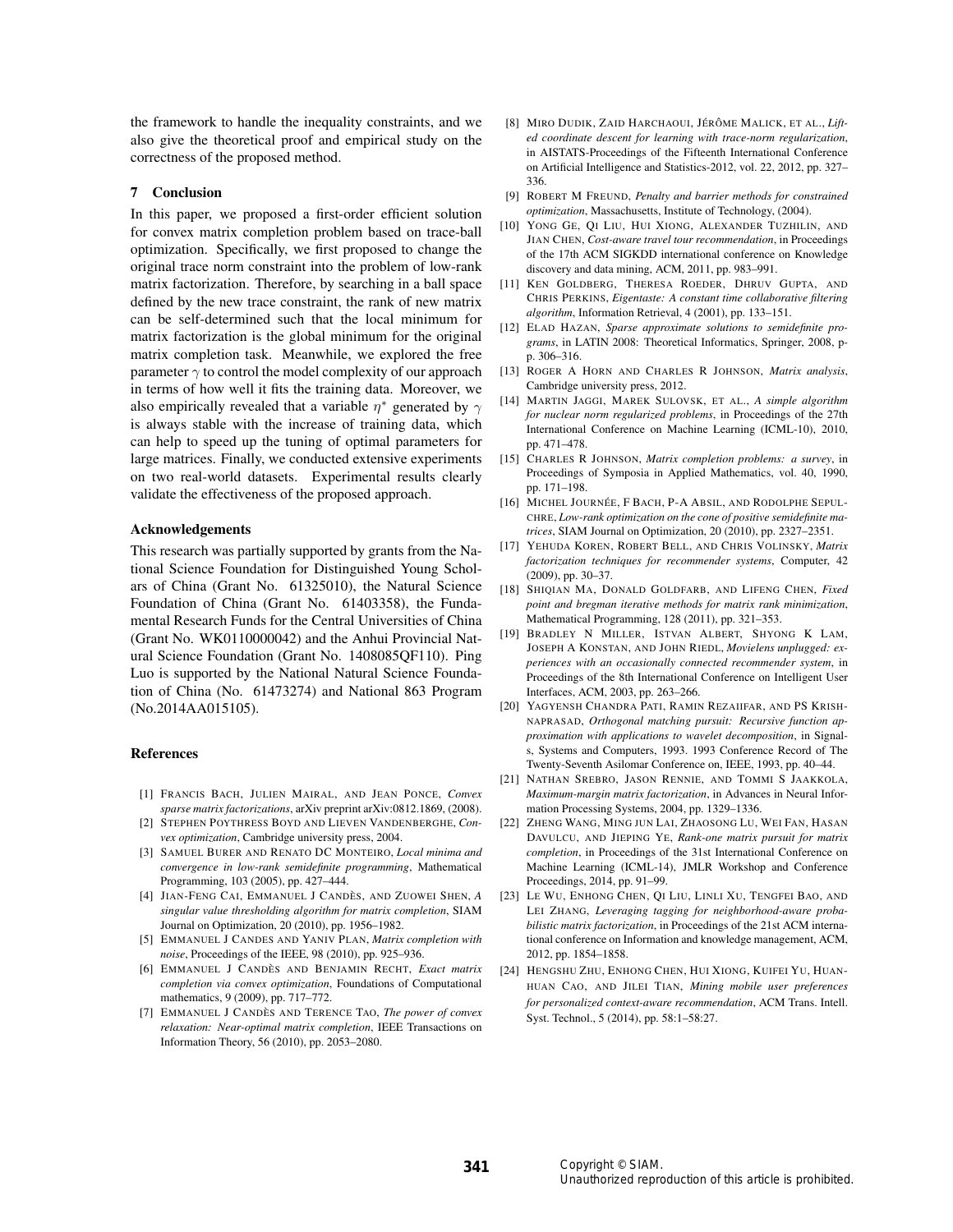the framework to handle the inequality constraints, and we also give the theoretical proof and empirical study on the correctness of the proposed method.

#### 7 Conclusion

In this paper, we proposed a first-order efficient solution for convex matrix completion problem based on trace-ball optimization. Specifically, we first proposed to change the original trace norm constraint into the problem of low-rank matrix factorization. Therefore, by searching in a ball space defined by the new trace constraint, the rank of new matrix can be self-determined such that the local minimum for matrix factorization is the global minimum for the original matrix completion task. Meanwhile, we explored the free parameter  $\gamma$  to control the model complexity of our approach in terms of how well it fits the training data. Moreover, we also empirically revealed that a variable  $\eta^*$  generated by  $\gamma$ is always stable with the increase of training data, which can help to speed up the tuning of optimal parameters for large matrices. Finally, we conducted extensive experiments on two real-world datasets. Experimental results clearly validate the effectiveness of the proposed approach.

#### Acknowledgements

This research was partially supported by grants from the National Science Foundation for Distinguished Young Scholars of China (Grant No. 61325010), the Natural Science Foundation of China (Grant No. 61403358), the Fundamental Research Funds for the Central Universities of China (Grant No. WK0110000042) and the Anhui Provincial Natural Science Foundation (Grant No. 1408085QF110). Ping Luo is supported by the National Natural Science Foundation of China (No. 61473274) and National 863 Program (No.2014AA015105).

#### References

- [1] FRANCIS BACH, JULIEN MAIRAL, AND JEAN PONCE, *Convex sparse matrix factorizations*, arXiv preprint arXiv:0812.1869, (2008).
- [2] STEPHEN POYTHRESS BOYD AND LIEVEN VANDENBERGHE, *Convex optimization*, Cambridge university press, 2004.
- [3] SAMUEL BURER AND RENATO DC MONTEIRO, *Local minima and convergence in low-rank semidefinite programming*, Mathematical Programming, 103 (2005), pp. 427–444.
- [4] JIAN-FENG CAI, EMMANUEL J CANDÈS, AND ZUOWEI SHEN, *A singular value thresholding algorithm for matrix completion*, SIAM Journal on Optimization, 20 (2010), pp. 1956–1982.
- [5] EMMANUEL J CANDES AND YANIV PLAN, *Matrix completion with noise*, Proceedings of the IEEE, 98 (2010), pp. 925–936.
- [6] EMMANUEL J CANDÈS AND BENJAMIN RECHT, *Exact matrix completion via convex optimization*, Foundations of Computational mathematics, 9 (2009), pp. 717–772.
- [7] EMMANUEL J CANDÈS AND TERENCE TAO, *The power of convex relaxation: Near-optimal matrix completion*, IEEE Transactions on Information Theory, 56 (2010), pp. 2053–2080.
- [8] MIRO DUDIK, ZAID HARCHAOUI, JÉRÔME MALICK, ET AL., *Lifted coordinate descent for learning with trace-norm regularization*, in AISTATS-Proceedings of the Fifteenth International Conference on Artificial Intelligence and Statistics-2012, vol. 22, 2012, pp. 327– 336.
- [9] ROBERT M FREUND, *Penalty and barrier methods for constrained optimization*, Massachusetts, Institute of Technology, (2004).
- [10] YONG GE, QI LIU, HUI XIONG, ALEXANDER TUZHILIN, AND JIAN CHEN, *Cost-aware travel tour recommendation*, in Proceedings of the 17th ACM SIGKDD international conference on Knowledge discovery and data mining, ACM, 2011, pp. 983–991.
- [11] KEN GOLDBERG, THERESA ROEDER, DHRUV GUPTA, AND CHRIS PERKINS, *Eigentaste: A constant time collaborative filtering algorithm*, Information Retrieval, 4 (2001), pp. 133–151.
- [12] ELAD HAZAN, *Sparse approximate solutions to semidefinite programs*, in LATIN 2008: Theoretical Informatics, Springer, 2008, pp. 306–316.
- [13] ROGER A HORN AND CHARLES R JOHNSON, *Matrix analysis*, Cambridge university press, 2012.
- [14] MARTIN JAGGI, MAREK SULOVSK, ET AL., *A simple algorithm for nuclear norm regularized problems*, in Proceedings of the 27th International Conference on Machine Learning (ICML-10), 2010, pp. 471–478.
- [15] CHARLES R JOHNSON, *Matrix completion problems: a survey*, in Proceedings of Symposia in Applied Mathematics, vol. 40, 1990, pp. 171–198.
- [16] MICHEL JOURNÉE, F BACH, P-A ABSIL, AND RODOLPHE SEPUL-CHRE, *Low-rank optimization on the cone of positive semidefinite matrices*, SIAM Journal on Optimization, 20 (2010), pp. 2327–2351.
- [17] YEHUDA KOREN, ROBERT BELL, AND CHRIS VOLINSKY, *Matrix factorization techniques for recommender systems*, Computer, 42 (2009), pp. 30–37.
- [18] SHIQIAN MA, DONALD GOLDFARB, AND LIFENG CHEN, *Fixed point and bregman iterative methods for matrix rank minimization*, Mathematical Programming, 128 (2011), pp. 321–353.
- [19] BRADLEY N MILLER, ISTVAN ALBERT, SHYONG K LAM, JOSEPH A KONSTAN, AND JOHN RIEDL, *Movielens unplugged: experiences with an occasionally connected recommender system*, in Proceedings of the 8th International Conference on Intelligent User Interfaces, ACM, 2003, pp. 263–266.
- [20] YAGYENSH CHANDRA PATI, RAMIN REZAIIFAR, AND PS KRISH-NAPRASAD, *Orthogonal matching pursuit: Recursive function approximation with applications to wavelet decomposition*, in Signals, Systems and Computers, 1993. 1993 Conference Record of The Twenty-Seventh Asilomar Conference on, IEEE, 1993, pp. 40–44.
- [21] NATHAN SREBRO, JASON RENNIE, AND TOMMI S JAAKKOLA, *Maximum-margin matrix factorization*, in Advances in Neural Information Processing Systems, 2004, pp. 1329–1336.
- [22] ZHENG WANG, MING JUN LAI, ZHAOSONG LU, WEI FAN, HASAN DAVULCU, AND JIEPING YE, *Rank-one matrix pursuit for matrix completion*, in Proceedings of the 31st International Conference on Machine Learning (ICML-14), JMLR Workshop and Conference Proceedings, 2014, pp. 91–99.
- [23] LE WU, ENHONG CHEN, QI LIU, LINLI XU, TENGFEI BAO, AND LEI ZHANG, *Leveraging tagging for neighborhood-aware probabilistic matrix factorization*, in Proceedings of the 21st ACM international conference on Information and knowledge management, ACM, 2012, pp. 1854–1858.
- [24] HENGSHU ZHU, ENHONG CHEN, HUI XIONG, KUIFEI YU, HUAN-HUAN CAO, AND JILEI TIAN, *Mining mobile user preferences for personalized context-aware recommendation*, ACM Trans. Intell. Syst. Technol., 5 (2014), pp. 58:1–58:27.